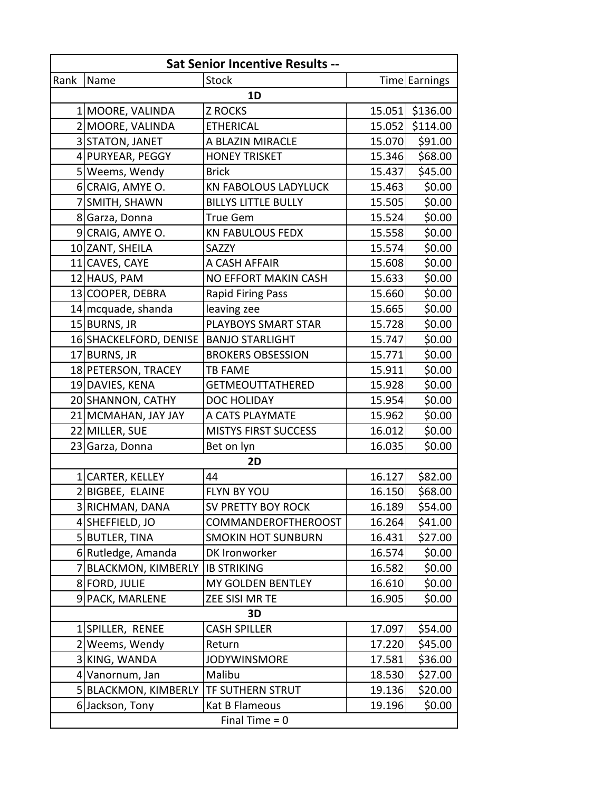| <b>Sat Senior Incentive Results --</b> |                        |                             |        |               |  |  |
|----------------------------------------|------------------------|-----------------------------|--------|---------------|--|--|
| Rank                                   | Name                   | <b>Stock</b>                |        | Time Earnings |  |  |
| 1D                                     |                        |                             |        |               |  |  |
|                                        | 1 MOORE, VALINDA       | <b>Z ROCKS</b>              | 15.051 | \$136.00      |  |  |
|                                        | 2 MOORE, VALINDA       | <b>ETHERICAL</b>            | 15.052 | \$114.00      |  |  |
|                                        | 3 STATON, JANET        | A BLAZIN MIRACLE            | 15.070 | \$91.00       |  |  |
|                                        | 4 PURYEAR, PEGGY       | <b>HONEY TRISKET</b>        | 15.346 | \$68.00       |  |  |
|                                        | 5 Weems, Wendy         | <b>Brick</b>                | 15.437 | \$45.00       |  |  |
|                                        | 6 CRAIG, AMYE O.       | <b>KN FABOLOUS LADYLUCK</b> | 15.463 | \$0.00        |  |  |
|                                        | 7 SMITH, SHAWN         | <b>BILLYS LITTLE BULLY</b>  | 15.505 | \$0.00        |  |  |
|                                        | 8 Garza, Donna         | <b>True Gem</b>             | 15.524 | \$0.00        |  |  |
|                                        | 9 CRAIG, AMYE O.       | <b>KN FABULOUS FEDX</b>     | 15.558 | \$0.00        |  |  |
|                                        | 10 ZANT, SHEILA        | SAZZY                       | 15.574 | \$0.00        |  |  |
|                                        | 11 CAVES, CAYE         | A CASH AFFAIR               | 15.608 | \$0.00        |  |  |
|                                        | 12 HAUS, PAM           | NO EFFORT MAKIN CASH        | 15.633 | \$0.00        |  |  |
|                                        | 13 COOPER, DEBRA       | <b>Rapid Firing Pass</b>    | 15.660 | \$0.00        |  |  |
|                                        | 14 mcquade, shanda     | leaving zee                 | 15.665 | \$0.00        |  |  |
|                                        | 15 BURNS, JR           | PLAYBOYS SMART STAR         | 15.728 | \$0.00        |  |  |
|                                        | 16 SHACKELFORD, DENISE | <b>BANJO STARLIGHT</b>      | 15.747 | \$0.00        |  |  |
|                                        | 17 BURNS, JR           | <b>BROKERS OBSESSION</b>    | 15.771 | \$0.00        |  |  |
|                                        | 18 PETERSON, TRACEY    | <b>TB FAME</b>              | 15.911 | \$0.00        |  |  |
|                                        | 19 DAVIES, KENA        | <b>GETMEOUTTATHERED</b>     | 15.928 | \$0.00        |  |  |
|                                        | 20 SHANNON, CATHY      | <b>DOC HOLIDAY</b>          | 15.954 | \$0.00        |  |  |
|                                        | 21 MCMAHAN, JAY JAY    | A CATS PLAYMATE             | 15.962 | \$0.00        |  |  |
|                                        | 22 MILLER, SUE         | <b>MISTYS FIRST SUCCESS</b> | 16.012 | \$0.00        |  |  |
|                                        | 23 Garza, Donna        | Bet on lyn                  | 16.035 | \$0.00        |  |  |
| 2D                                     |                        |                             |        |               |  |  |
|                                        | 1 CARTER, KELLEY       | 44                          | 16.127 | \$82.00       |  |  |
|                                        | 2 BIGBEE, ELAINE       | FLYN BY YOU                 | 16.150 | \$68.00       |  |  |
|                                        | 3 RICHMAN, DANA        | <b>SV PRETTY BOY ROCK</b>   | 16.189 | \$54.00       |  |  |
|                                        | 4 SHEFFIELD, JO        | <b>COMMANDEROFTHEROOST</b>  | 16.264 | \$41.00       |  |  |
|                                        | 5 BUTLER, TINA         | <b>SMOKIN HOT SUNBURN</b>   | 16.431 | \$27.00       |  |  |
|                                        | 6 Rutledge, Amanda     | DK Ironworker               | 16.574 | \$0.00        |  |  |
|                                        | 7 BLACKMON, KIMBERLY   | <b>IB STRIKING</b>          | 16.582 | \$0.00        |  |  |
|                                        | 8 FORD, JULIE          | MY GOLDEN BENTLEY           | 16.610 | \$0.00        |  |  |
|                                        | 9 PACK, MARLENE        | ZEE SISI MR TE              | 16.905 | \$0.00        |  |  |
| 3D                                     |                        |                             |        |               |  |  |
|                                        | 1 SPILLER, RENEE       | <b>CASH SPILLER</b>         | 17.097 | \$54.00       |  |  |
|                                        | 2 Weems, Wendy         | Return                      | 17.220 | \$45.00       |  |  |
|                                        | 3 KING, WANDA          | <b>JODYWINSMORE</b>         | 17.581 | \$36.00       |  |  |
|                                        | 4 Vanornum, Jan        | Malibu                      | 18.530 | \$27.00       |  |  |
|                                        | 5 BLACKMON, KIMBERLY   | TF SUTHERN STRUT            | 19.136 | \$20.00       |  |  |
|                                        | 6 Jackson, Tony        | Kat B Flameous              | 19.196 | \$0.00        |  |  |
| Final Time $= 0$                       |                        |                             |        |               |  |  |